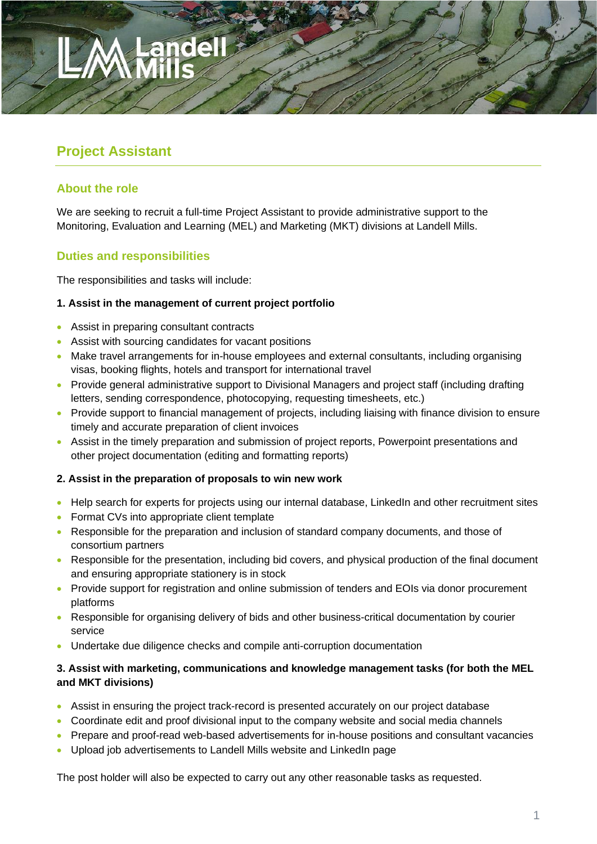# **Project Assistant**

# **About the role**

We are seeking to recruit a full-time Project Assistant to provide administrative support to the Monitoring, Evaluation and Learning (MEL) and Marketing (MKT) divisions at Landell Mills.

# **Duties and responsibilities**

The responsibilities and tasks will include:

### **1. Assist in the management of current project portfolio**

- Assist in preparing consultant contracts
- Assist with sourcing candidates for vacant positions
- Make travel arrangements for in-house employees and external consultants, including organising visas, booking flights, hotels and transport for international travel
- Provide general administrative support to Divisional Managers and project staff (including drafting letters, sending correspondence, photocopying, requesting timesheets, etc.)
- Provide support to financial management of projects, including liaising with finance division to ensure timely and accurate preparation of client invoices
- Assist in the timely preparation and submission of project reports, Powerpoint presentations and other project documentation (editing and formatting reports)

### **2. Assist in the preparation of proposals to win new work**

- Help search for experts for projects using our internal database, LinkedIn and other recruitment sites
- Format CVs into appropriate client template
- Responsible for the preparation and inclusion of standard company documents, and those of consortium partners
- Responsible for the presentation, including bid covers, and physical production of the final document and ensuring appropriate stationery is in stock
- Provide support for registration and online submission of tenders and EOIs via donor procurement platforms
- Responsible for organising delivery of bids and other business-critical documentation by courier service
- Undertake due diligence checks and compile anti-corruption documentation

#### **3. Assist with marketing, communications and knowledge management tasks (for both the MEL and MKT divisions)**

- Assist in ensuring the project track-record is presented accurately on our project database
- Coordinate edit and proof divisional input to the company website and social media channels
- Prepare and proof-read web-based advertisements for in-house positions and consultant vacancies
- Upload job advertisements to Landell Mills website and LinkedIn page

The post holder will also be expected to carry out any other reasonable tasks as requested.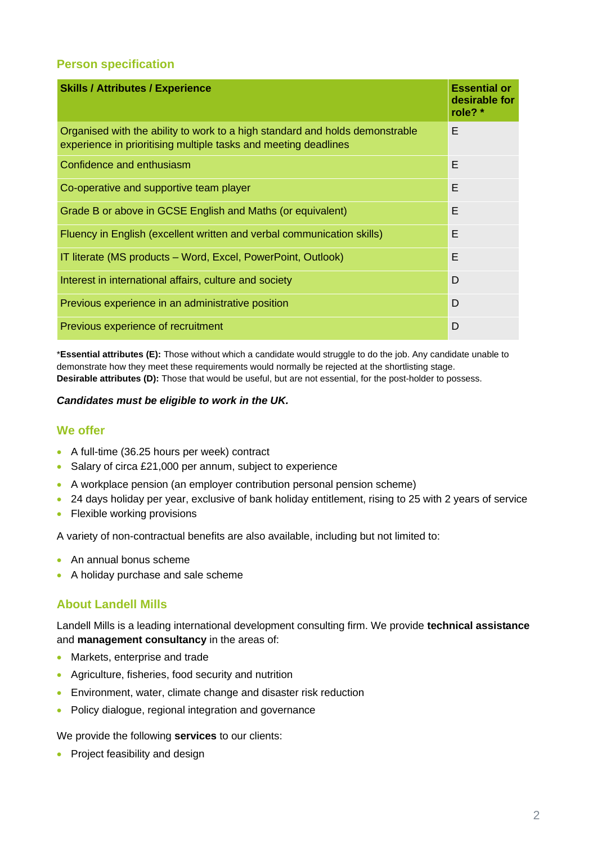### **Person specification**

| <b>Skills / Attributes / Experience</b>                                                                                                         | <b>Essential or</b><br>desirable for<br>role? $*$ |
|-------------------------------------------------------------------------------------------------------------------------------------------------|---------------------------------------------------|
| Organised with the ability to work to a high standard and holds demonstrable<br>experience in prioritising multiple tasks and meeting deadlines | Е                                                 |
| Confidence and enthusiasm                                                                                                                       | E                                                 |
| Co-operative and supportive team player                                                                                                         | E                                                 |
| Grade B or above in GCSE English and Maths (or equivalent)                                                                                      | F                                                 |
| Fluency in English (excellent written and verbal communication skills)                                                                          | E                                                 |
| IT literate (MS products - Word, Excel, PowerPoint, Outlook)                                                                                    | E                                                 |
| Interest in international affairs, culture and society                                                                                          | D                                                 |
| Previous experience in an administrative position                                                                                               | D                                                 |
| Previous experience of recruitment                                                                                                              | D                                                 |

\***Essential attributes (E):** Those without which a candidate would struggle to do the job. Any candidate unable to demonstrate how they meet these requirements would normally be rejected at the shortlisting stage. **Desirable attributes (D):** Those that would be useful, but are not essential, for the post-holder to possess.

#### *Candidates must be eligible to work in the UK.*

### **We offer**

- A full-time (36.25 hours per week) contract
- Salary of circa £21,000 per annum, subject to experience
- A workplace pension (an employer contribution personal pension scheme)
- 24 days holiday per year, exclusive of bank holiday entitlement, rising to 25 with 2 years of service
- Flexible working provisions

A variety of non-contractual benefits are also available, including but not limited to:

- An annual bonus scheme
- A holiday purchase and sale scheme

### **About Landell Mills**

Landell Mills is a leading international development consulting firm. We provide **technical assistance**  and **management consultancy** in the areas of:

- Markets, enterprise and trade
- Agriculture, fisheries, food security and nutrition
- Environment, water, climate change and disaster risk reduction
- Policy dialogue, regional integration and governance

We provide the following **services** to our clients:

• Project feasibility and design